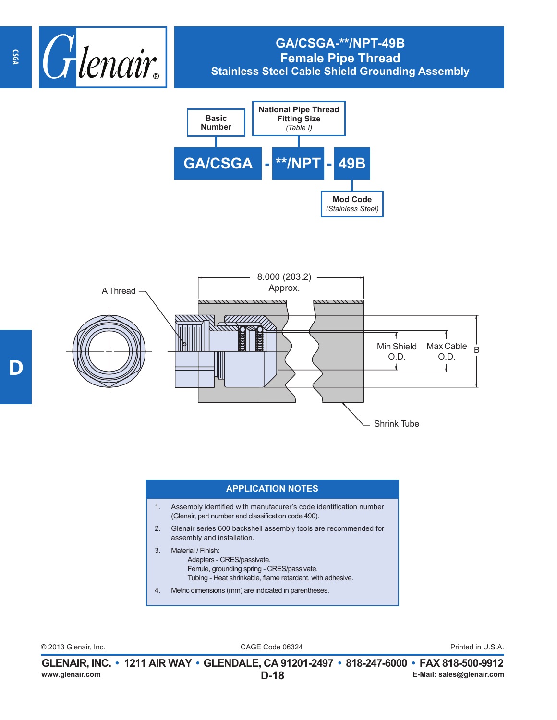

## **GA/CSGA-\*\*/NPT-49B Female Pipe Thread Stainless Steel Cable Shield Grounding Assembly**





## **APPLICATION NOTES**

- 1. Assembly identified with manufacurer's code identification number (Glenair, part number and classification code 490).
- 2. Glenair series 600 backshell assembly tools are recommended for assembly and installation.
- 3. Material / Finish: Adapters - CRES/passivate. Ferrule, grounding spring - CRES/passivate. Tubing - Heat shrinkable, flame retardant, with adhesive.
- 4. Metric dimensions (mm) are indicated in parentheses.

CAGE Code 06324 © 2013 Glenair, Inc. Printed in U.S.A.

**CSGA**